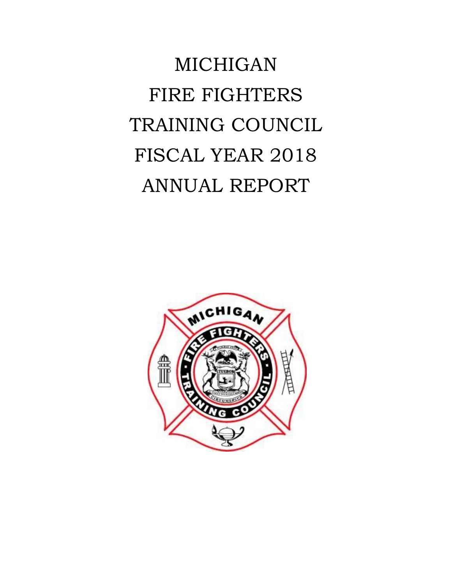MICHIGAN FIRE FIGHTERS TRAINING COUNCIL FISCAL YEAR 2018 ANNUAL REPORT

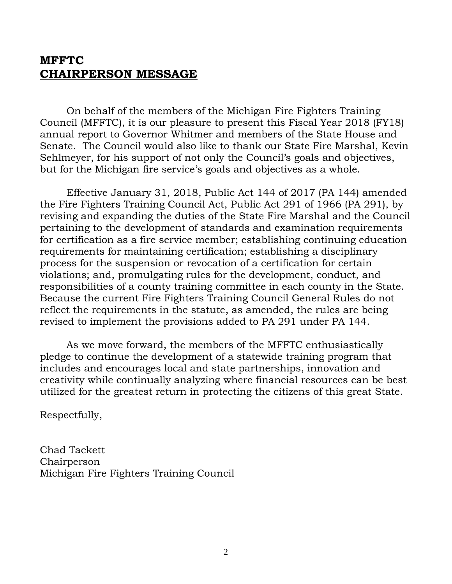## **MFFTC CHAIRPERSON MESSAGE**

On behalf of the members of the Michigan Fire Fighters Training Council (MFFTC), it is our pleasure to present this Fiscal Year 2018 (FY18) annual report to Governor Whitmer and members of the State House and Senate. The Council would also like to thank our State Fire Marshal, Kevin Sehlmeyer, for his support of not only the Council's goals and objectives, but for the Michigan fire service's goals and objectives as a whole.

Effective January 31, 2018, Public Act 144 of 2017 (PA 144) amended the Fire Fighters Training Council Act, Public Act 291 of 1966 (PA 291), by revising and expanding the duties of the State Fire Marshal and the Council pertaining to the development of standards and examination requirements for certification as a fire service member; establishing continuing education requirements for maintaining certification; establishing a disciplinary process for the suspension or revocation of a certification for certain violations; and, promulgating rules for the development, conduct, and responsibilities of a county training committee in each county in the State. Because the current Fire Fighters Training Council General Rules do not reflect the requirements in the statute, as amended, the rules are being revised to implement the provisions added to PA 291 under PA 144.

As we move forward, the members of the MFFTC enthusiastically pledge to continue the development of a statewide training program that includes and encourages local and state partnerships, innovation and creativity while continually analyzing where financial resources can be best utilized for the greatest return in protecting the citizens of this great State.

Respectfully,

Chad Tackett Chairperson Michigan Fire Fighters Training Council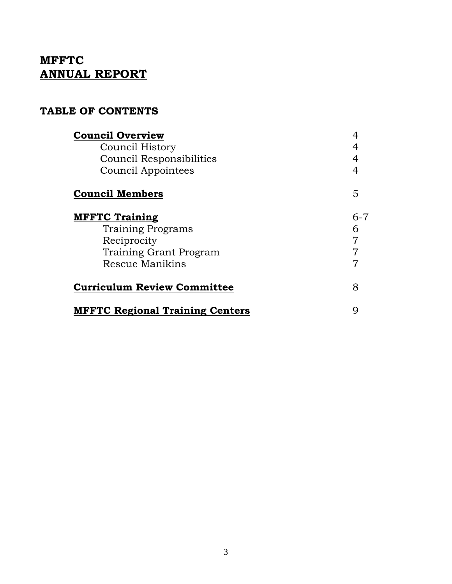# **MFFTC ANNUAL REPORT**

### **TABLE OF CONTENTS**

| <b>Council Overview</b>                |         |
|----------------------------------------|---------|
| Council History                        |         |
| Council Responsibilities               | 4       |
| Council Appointees                     | 4       |
| <b>Council Members</b>                 | 5       |
| <b>MFFTC Training</b>                  | $6 - 7$ |
| <b>Training Programs</b>               | 6       |
| Reciprocity                            | 7       |
| Training Grant Program                 |         |
| Rescue Manikins                        | 7       |
| <b>Curriculum Review Committee</b>     | 8       |
| <b>MFFTC Regional Training Centers</b> | g       |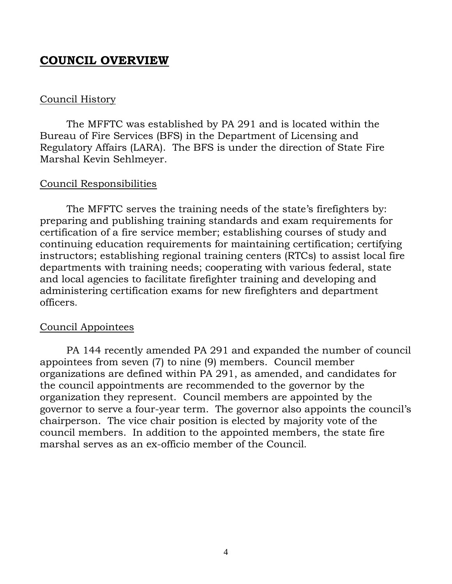## <span id="page-3-0"></span>**COUNCIL OVERVIEW**

#### Council History

The MFFTC was established by PA 291 and is located within the Bureau of Fire Services (BFS) in the Department of Licensing and Regulatory Affairs (LARA). The BFS is under the direction of State Fire Marshal Kevin Sehlmeyer.

#### Council Responsibilities

The MFFTC serves the training needs of the state's firefighters by: preparing and publishing training standards and exam requirements for certification of a fire service member; establishing courses of study and continuing education requirements for maintaining certification; certifying instructors; establishing regional training centers (RTCs) to assist local fire departments with training needs; cooperating with various federal, state and local agencies to facilitate firefighter training and developing and administering certification exams for new firefighters and department officers.

### Council Appointees

PA 144 recently amended PA 291 and expanded the number of council appointees from seven (7) to nine (9) members. Council member organizations are defined within PA 291, as amended, and candidates for the council appointments are recommended to the governor by the organization they represent. Council members are appointed by the governor to serve a four-year term. The governor also appoints the council's chairperson. The vice chair position is elected by majority vote of the council members. In addition to the appointed members, the state fire marshal serves as an ex-officio member of the Council.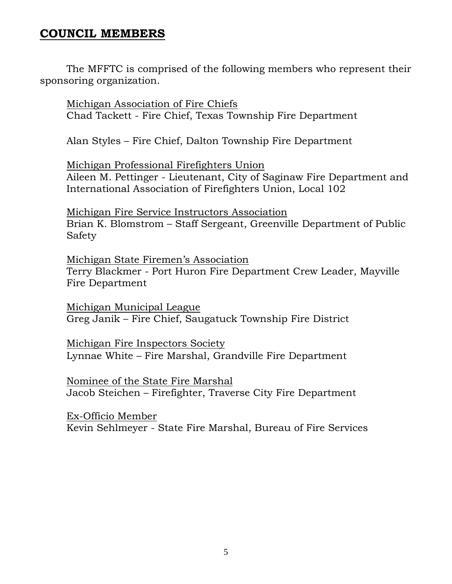## <span id="page-4-0"></span>**COUNCIL MEMBERS**

The MFFTC is comprised of the following members who represent their sponsoring organization.

Michigan Association of Fire Chiefs Chad Tackett - Fire Chief, Texas Township Fire Department

Alan Styles – Fire Chief, Dalton Township Fire Department

Michigan Professional Firefighters Union Aileen M. Pettinger - Lieutenant, City of Saginaw Fire Department and International Association of Firefighters Union, Local 102

Michigan Fire Service Instructors Association Brian K. Blomstrom – Staff Sergeant, Greenville Department of Public Safety

Michigan State Firemen's Association Terry Blackmer - Port Huron Fire Department Crew Leader, Mayville Fire Department

Michigan Municipal League Greg Janik – Fire Chief, Saugatuck Township Fire District

Michigan Fire Inspectors Society Lynnae White – Fire Marshal, Grandville Fire Department

Nominee of the State Fire Marshal Jacob Steichen – Firefighter, Traverse City Fire Department

Ex-Officio Member Kevin Sehlmeyer - State Fire Marshal, Bureau of Fire Services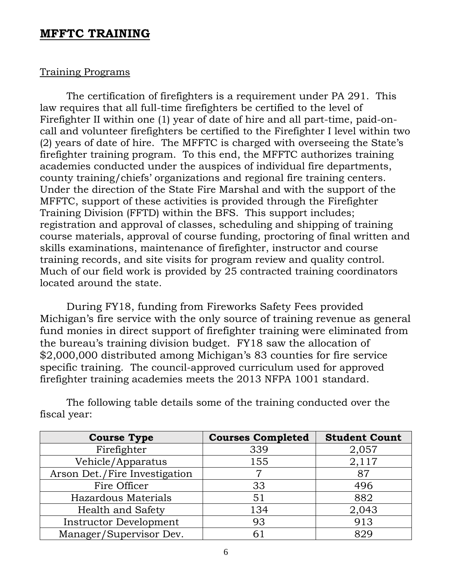### <span id="page-5-0"></span>**MFFTC TRAINING**

#### Training Programs

The certification of firefighters is a requirement under PA 291. This law requires that all full-time firefighters be certified to the level of Firefighter II within one (1) year of date of hire and all part-time, paid-oncall and volunteer firefighters be certified to the Firefighter I level within two (2) years of date of hire. The MFFTC is charged with overseeing the State's firefighter training program. To this end, the MFFTC authorizes training academies conducted under the auspices of individual fire departments, county training/chiefs' organizations and regional fire training centers. Under the direction of the State Fire Marshal and with the support of the MFFTC, support of these activities is provided through the Firefighter Training Division (FFTD) within the BFS. This support includes; registration and approval of classes, scheduling and shipping of training course materials, approval of course funding, proctoring of final written and skills examinations, maintenance of firefighter, instructor and course training records, and site visits for program review and quality control. Much of our field work is provided by 25 contracted training coordinators located around the state.

During FY18, funding from Fireworks Safety Fees provided Michigan's fire service with the only source of training revenue as general fund monies in direct support of firefighter training were eliminated from the bureau's training division budget. FY18 saw the allocation of \$2,000,000 distributed among Michigan's 83 counties for fire service specific training. The council-approved curriculum used for approved firefighter training academies meets the 2013 NFPA 1001 standard.

| <b>Course Type</b>            | <b>Courses Completed</b> | <b>Student Count</b> |
|-------------------------------|--------------------------|----------------------|
| Firefighter                   | 339                      | 2,057                |
| Vehicle/Apparatus             | 155                      | 2,117                |
| Arson Det./Fire Investigation |                          | 87                   |
| Fire Officer                  | 33                       | 496                  |
| Hazardous Materials           | 51                       | 882                  |
| <b>Health and Safety</b>      | 134                      | 2,043                |
| <b>Instructor Development</b> | 93                       | 913                  |
| Manager/Supervisor Dev.       | 61                       | 829                  |

The following table details some of the training conducted over the fiscal year: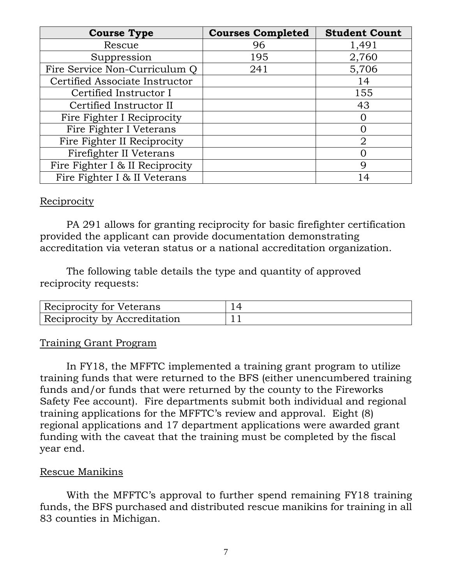| <b>Course Type</b>              | <b>Courses Completed</b> | <b>Student Count</b> |
|---------------------------------|--------------------------|----------------------|
| Rescue                          | 96                       | 1,491                |
| Suppression                     | 195                      | 2,760                |
| Fire Service Non-Curriculum Q   | 241                      | 5,706                |
| Certified Associate Instructor  |                          | 14                   |
| Certified Instructor I          |                          | 155                  |
| Certified Instructor II         |                          | 43                   |
| Fire Fighter I Reciprocity      |                          |                      |
| Fire Fighter I Veterans         |                          |                      |
| Fire Fighter II Reciprocity     |                          | $\overline{2}$       |
| Firefighter II Veterans         |                          |                      |
| Fire Fighter I & II Reciprocity |                          | 9                    |
| Fire Fighter I & II Veterans    |                          | 14                   |

#### Reciprocity

PA 291 allows for granting reciprocity for basic firefighter certification provided the applicant can provide documentation demonstrating accreditation via veteran status or a national accreditation organization.

The following table details the type and quantity of approved reciprocity requests:

| Reciprocity for Veterans     |  |
|------------------------------|--|
| Reciprocity by Accreditation |  |

### Training Grant Program

In FY18, the MFFTC implemented a training grant program to utilize training funds that were returned to the BFS (either unencumbered training funds and/or funds that were returned by the county to the Fireworks Safety Fee account). Fire departments submit both individual and regional training applications for the MFFTC's review and approval. Eight (8) regional applications and 17 department applications were awarded grant funding with the caveat that the training must be completed by the fiscal year end.

### Rescue Manikins

With the MFFTC's approval to further spend remaining FY18 training funds, the BFS purchased and distributed rescue manikins for training in all 83 counties in Michigan.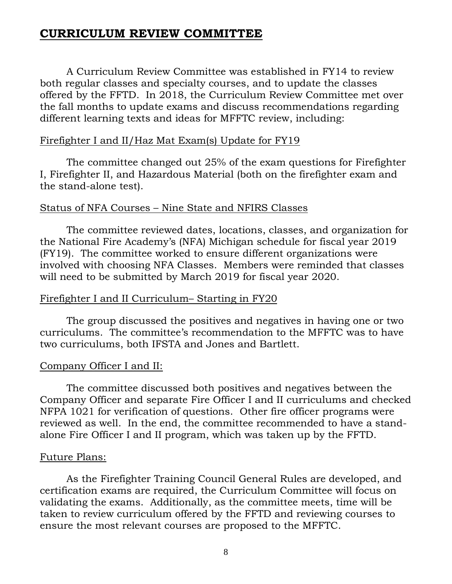## <span id="page-7-0"></span>**CURRICULUM REVIEW COMMITTEE**

A Curriculum Review Committee was established in FY14 to review both regular classes and specialty courses, and to update the classes offered by the FFTD. In 2018, the Curriculum Review Committee met over the fall months to update exams and discuss recommendations regarding different learning texts and ideas for MFFTC review, including:

#### Firefighter I and II/Haz Mat Exam(s) Update for FY19

The committee changed out 25% of the exam questions for Firefighter I, Firefighter II, and Hazardous Material (both on the firefighter exam and the stand-alone test).

#### Status of NFA Courses – Nine State and NFIRS Classes

The committee reviewed dates, locations, classes, and organization for the National Fire Academy's (NFA) Michigan schedule for fiscal year 2019 (FY19). The committee worked to ensure different organizations were involved with choosing NFA Classes. Members were reminded that classes will need to be submitted by March 2019 for fiscal year 2020.

#### Firefighter I and II Curriculum– Starting in FY20

The group discussed the positives and negatives in having one or two curriculums. The committee's recommendation to the MFFTC was to have two curriculums, both IFSTA and Jones and Bartlett.

### Company Officer I and II:

The committee discussed both positives and negatives between the Company Officer and separate Fire Officer I and II curriculums and checked NFPA 1021 for verification of questions. Other fire officer programs were reviewed as well. In the end, the committee recommended to have a standalone Fire Officer I and II program, which was taken up by the FFTD.

#### Future Plans:

As the Firefighter Training Council General Rules are developed, and certification exams are required, the Curriculum Committee will focus on validating the exams. Additionally, as the committee meets, time will be taken to review curriculum offered by the FFTD and reviewing courses to ensure the most relevant courses are proposed to the MFFTC.